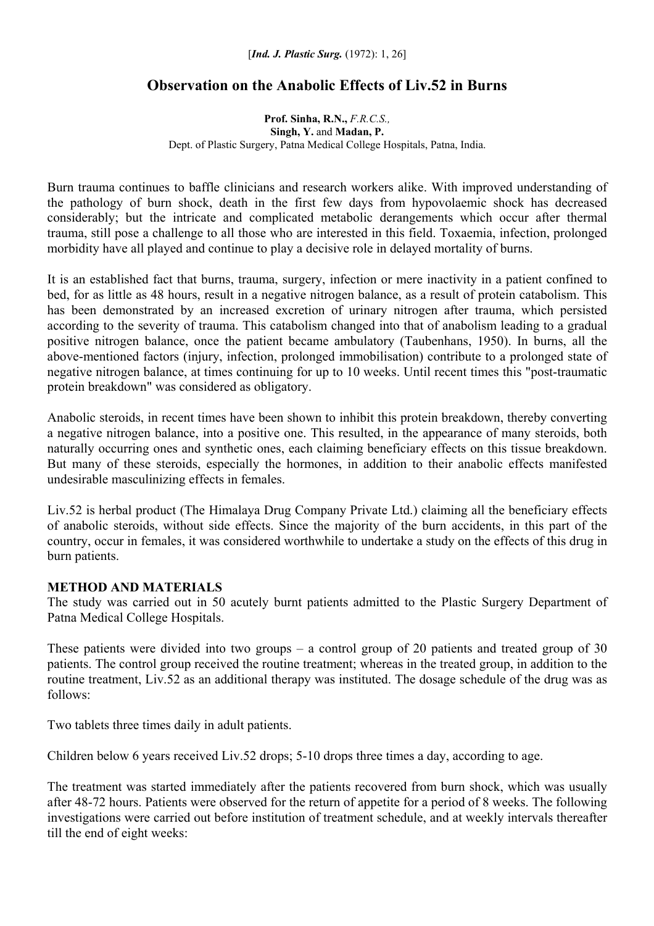# **Observation on the Anabolic Effects of Liv.52 in Burns**

**Prof. Sinha, R.N.,** *F.R.C.S.,*  **Singh, Y.** and **Madan, P.**  Dept. of Plastic Surgery, Patna Medical College Hospitals, Patna, India.

Burn trauma continues to baffle clinicians and research workers alike. With improved understanding of the pathology of burn shock, death in the first few days from hypovolaemic shock has decreased considerably; but the intricate and complicated metabolic derangements which occur after thermal trauma, still pose a challenge to all those who are interested in this field. Toxaemia, infection, prolonged morbidity have all played and continue to play a decisive role in delayed mortality of burns.

It is an established fact that burns, trauma, surgery, infection or mere inactivity in a patient confined to bed, for as little as 48 hours, result in a negative nitrogen balance, as a result of protein catabolism. This has been demonstrated by an increased excretion of urinary nitrogen after trauma, which persisted according to the severity of trauma. This catabolism changed into that of anabolism leading to a gradual positive nitrogen balance, once the patient became ambulatory (Taubenhans, 1950). In burns, all the above-mentioned factors (injury, infection, prolonged immobilisation) contribute to a prolonged state of negative nitrogen balance, at times continuing for up to 10 weeks. Until recent times this "post-traumatic protein breakdown" was considered as obligatory.

Anabolic steroids, in recent times have been shown to inhibit this protein breakdown, thereby converting a negative nitrogen balance, into a positive one. This resulted, in the appearance of many steroids, both naturally occurring ones and synthetic ones, each claiming beneficiary effects on this tissue breakdown. But many of these steroids, especially the hormones, in addition to their anabolic effects manifested undesirable masculinizing effects in females.

Liv.52 is herbal product (The Himalaya Drug Company Private Ltd.) claiming all the beneficiary effects of anabolic steroids, without side effects. Since the majority of the burn accidents, in this part of the country, occur in females, it was considered worthwhile to undertake a study on the effects of this drug in burn patients.

#### **METHOD AND MATERIALS**

The study was carried out in 50 acutely burnt patients admitted to the Plastic Surgery Department of Patna Medical College Hospitals.

These patients were divided into two groups – a control group of 20 patients and treated group of 30 patients. The control group received the routine treatment; whereas in the treated group, in addition to the routine treatment, Liv.52 as an additional therapy was instituted. The dosage schedule of the drug was as follows:

Two tablets three times daily in adult patients.

Children below 6 years received Liv.52 drops; 5-10 drops three times a day, according to age.

The treatment was started immediately after the patients recovered from burn shock, which was usually after 48-72 hours. Patients were observed for the return of appetite for a period of 8 weeks. The following investigations were carried out before institution of treatment schedule, and at weekly intervals thereafter till the end of eight weeks: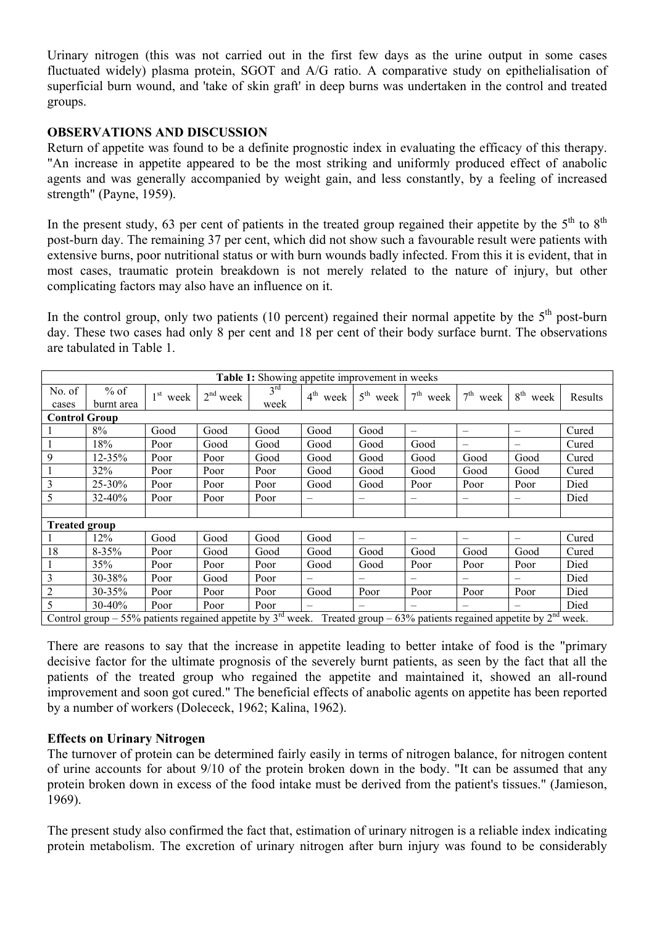Urinary nitrogen (this was not carried out in the first few days as the urine output in some cases fluctuated widely) plasma protein, SGOT and A/G ratio. A comparative study on epithelialisation of superficial burn wound, and 'take of skin graft' in deep burns was undertaken in the control and treated groups.

## **OBSERVATIONS AND DISCUSSION**

Return of appetite was found to be a definite prognostic index in evaluating the efficacy of this therapy. "An increase in appetite appeared to be the most striking and uniformly produced effect of anabolic agents and was generally accompanied by weight gain, and less constantly, by a feeling of increased strength" (Payne, 1959).

In the present study, 63 per cent of patients in the treated group regained their appetite by the  $5<sup>th</sup>$  to  $8<sup>th</sup>$ post-burn day. The remaining 37 per cent, which did not show such a favourable result were patients with extensive burns, poor nutritional status or with burn wounds badly infected. From this it is evident, that in most cases, traumatic protein breakdown is not merely related to the nature of injury, but other complicating factors may also have an influence on it.

In the control group, only two patients (10 percent) regained their normal appetite by the  $5<sup>th</sup>$  post-burn day. These two cases had only 8 per cent and 18 per cent of their body surface burnt. The observations are tabulated in Table 1.

| Table 1: Showing appetite improvement in weeks                                                                                       |                      |            |            |                         |      |                                           |      |            |            |         |  |
|--------------------------------------------------------------------------------------------------------------------------------------|----------------------|------------|------------|-------------------------|------|-------------------------------------------|------|------------|------------|---------|--|
| No. of<br>cases                                                                                                                      | $%$ of<br>burnt area | $1st$ week | $2nd$ week | $3^{\text{rd}}$<br>week |      | $4^{th}$ week $5^{th}$ week $7^{th}$ week |      | $7th$ week | $8th$ week | Results |  |
| <b>Control Group</b>                                                                                                                 |                      |            |            |                         |      |                                           |      |            |            |         |  |
|                                                                                                                                      | 8%                   | Good       | Good       | Good                    | Good | Good                                      |      |            | —          | Cured   |  |
|                                                                                                                                      | 18%                  | Poor       | Good       | Good                    | Good | Good                                      | Good |            |            | Cured   |  |
| 9                                                                                                                                    | $12 - 35%$           | Poor       | Poor       | Good                    | Good | Good                                      | Good | Good       | Good       | Cured   |  |
|                                                                                                                                      | 32%                  | Poor       | Poor       | Poor                    | Good | Good                                      | Good | Good       | Good       | Cured   |  |
| $\overline{3}$                                                                                                                       | $25 - 30\%$          | Poor       | Poor       | Poor                    | Good | Good                                      | Poor | Poor       | Poor       | Died    |  |
| 5                                                                                                                                    | $32 - 40%$           | Poor       | Poor       | Poor                    |      |                                           |      | —          |            | Died    |  |
|                                                                                                                                      |                      |            |            |                         |      |                                           |      |            |            |         |  |
| <b>Treated group</b>                                                                                                                 |                      |            |            |                         |      |                                           |      |            |            |         |  |
|                                                                                                                                      | 12%                  | Good       | Good       | Good                    | Good |                                           |      | —          |            | Cured   |  |
| 18                                                                                                                                   | $8 - 35\%$           | Poor       | Good       | Good                    | Good | Good                                      | Good | Good       | Good       | Cured   |  |
|                                                                                                                                      | 35%                  | Poor       | Poor       | Poor                    | Good | Good                                      | Poor | Poor       | Poor       | Died    |  |
| $\overline{3}$                                                                                                                       | $30 - 38%$           | Poor       | Good       | Poor                    |      |                                           |      |            |            | Died    |  |
| $\overline{2}$                                                                                                                       | $30 - 35\%$          | Poor       | Poor       | Poor                    | Good | Poor                                      | Poor | Poor       | Poor       | Died    |  |
| 5                                                                                                                                    | $30-40%$             | Poor       | Poor       | Poor                    |      |                                           |      |            |            | Died    |  |
| Control group – 55% patients regained appetite by $3^{rd}$ week. Treated group – 63% patients regained appetite by $2^{nd}$<br>week. |                      |            |            |                         |      |                                           |      |            |            |         |  |

There are reasons to say that the increase in appetite leading to better intake of food is the "primary decisive factor for the ultimate prognosis of the severely burnt patients, as seen by the fact that all the patients of the treated group who regained the appetite and maintained it, showed an all-round improvement and soon got cured." The beneficial effects of anabolic agents on appetite has been reported by a number of workers (Dolececk, 1962; Kalina, 1962).

#### **Effects on Urinary Nitrogen**

The turnover of protein can be determined fairly easily in terms of nitrogen balance, for nitrogen content of urine accounts for about 9/10 of the protein broken down in the body. "It can be assumed that any protein broken down in excess of the food intake must be derived from the patient's tissues." (Jamieson, 1969).

The present study also confirmed the fact that, estimation of urinary nitrogen is a reliable index indicating protein metabolism. The excretion of urinary nitrogen after burn injury was found to be considerably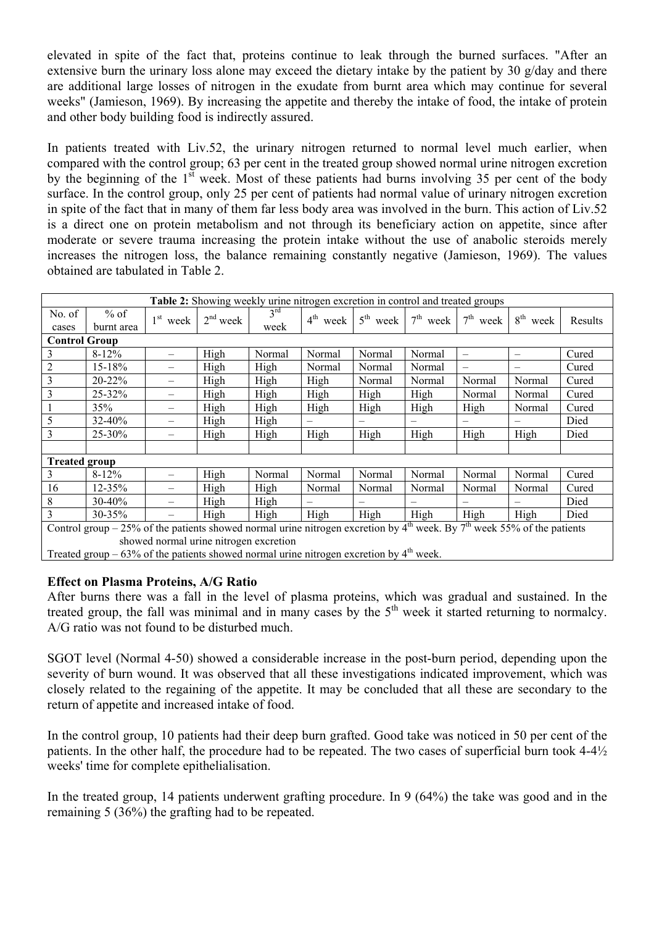elevated in spite of the fact that, proteins continue to leak through the burned surfaces. "After an extensive burn the urinary loss alone may exceed the dietary intake by the patient by 30 g/day and there are additional large losses of nitrogen in the exudate from burnt area which may continue for several weeks" (Jamieson, 1969). By increasing the appetite and thereby the intake of food, the intake of protein and other body building food is indirectly assured.

In patients treated with Liv.52, the urinary nitrogen returned to normal level much earlier, when compared with the control group; 63 per cent in the treated group showed normal urine nitrogen excretion by the beginning of the 1<sup>st</sup> week. Most of these patients had burns involving 35 per cent of the body surface. In the control group, only 25 per cent of patients had normal value of urinary nitrogen excretion in spite of the fact that in many of them far less body area was involved in the burn. This action of Liv.52 is a direct one on protein metabolism and not through its beneficiary action on appetite, since after moderate or severe trauma increasing the protein intake without the use of anabolic steroids merely increases the nitrogen loss, the balance remaining constantly negative (Jamieson, 1969). The values obtained are tabulated in Table 2.

| Table 2: Showing weekly urine nitrogen excretion in control and treated groups                                                    |            |            |            |                 |        |        |                                           |                          |            |         |  |
|-----------------------------------------------------------------------------------------------------------------------------------|------------|------------|------------|-----------------|--------|--------|-------------------------------------------|--------------------------|------------|---------|--|
| No. of                                                                                                                            | $%$ of     | $1st$ week | $2nd$ week | $3^{\text{rd}}$ |        |        | $4^{th}$ week $5^{th}$ week $7^{th}$ week | $7th$ week               | $8th$ week | Results |  |
| cases                                                                                                                             | burnt area |            |            | week            |        |        |                                           |                          |            |         |  |
| <b>Control Group</b>                                                                                                              |            |            |            |                 |        |        |                                           |                          |            |         |  |
| 3                                                                                                                                 | $8 - 12%$  |            | High       | Normal          | Normal | Normal | Normal                                    | $\overline{\phantom{0}}$ |            | Cured   |  |
| $\overline{2}$                                                                                                                    | $15 - 18%$ |            | High       | High            | Normal | Normal | Normal                                    |                          |            | Cured   |  |
| $\overline{3}$                                                                                                                    | 20-22%     |            | High       | High            | High   | Normal | Normal                                    | Normal                   | Normal     | Cured   |  |
| $\overline{3}$                                                                                                                    | 25-32%     |            | High       | High            | High   | High   | High                                      | Normal                   | Normal     | Cured   |  |
|                                                                                                                                   | 35%        |            | High       | High            | High   | High   | High                                      | High                     | Normal     | Cured   |  |
| 5                                                                                                                                 | 32-40%     |            | High       | High            |        |        |                                           |                          |            | Died    |  |
| $\overline{3}$                                                                                                                    | 25-30%     |            | High       | High            | High   | High   | High                                      | High                     | High       | Died    |  |
|                                                                                                                                   |            |            |            |                 |        |        |                                           |                          |            |         |  |
| <b>Treated group</b>                                                                                                              |            |            |            |                 |        |        |                                           |                          |            |         |  |
| 3                                                                                                                                 | $8 - 12\%$ |            | High       | Normal          | Normal | Normal | Normal                                    | Normal                   | Normal     | Cured   |  |
| 16                                                                                                                                | $12 - 35%$ |            | High       | High            | Normal | Normal | Normal                                    | Normal                   | Normal     | Cured   |  |
| $8\,$                                                                                                                             | $30 - 40%$ |            | High       | High            |        |        |                                           |                          |            | Died    |  |
| 3                                                                                                                                 | 30-35%     |            | High       | High            | High   | High   | High                                      | High                     | High       | Died    |  |
| Control group – 25% of the patients showed normal urine nitrogen excretion by $4^{th}$ week. By $7^{th}$ week 55% of the patients |            |            |            |                 |        |        |                                           |                          |            |         |  |
| showed normal urine nitrogen excretion                                                                                            |            |            |            |                 |        |        |                                           |                          |            |         |  |
| Treated group $-63\%$ of the patients showed normal urine nitrogen excretion by $4th$ week.                                       |            |            |            |                 |        |        |                                           |                          |            |         |  |

## **Effect on Plasma Proteins, A/G Ratio**

After burns there was a fall in the level of plasma proteins, which was gradual and sustained. In the treated group, the fall was minimal and in many cases by the 5th week it started returning to normalcy. A/G ratio was not found to be disturbed much.

SGOT level (Normal 4-50) showed a considerable increase in the post-burn period, depending upon the severity of burn wound. It was observed that all these investigations indicated improvement, which was closely related to the regaining of the appetite. It may be concluded that all these are secondary to the return of appetite and increased intake of food.

In the control group, 10 patients had their deep burn grafted. Good take was noticed in 50 per cent of the patients. In the other half, the procedure had to be repeated. The two cases of superficial burn took 4-4½ weeks' time for complete epithelialisation.

In the treated group, 14 patients underwent grafting procedure. In 9 (64%) the take was good and in the remaining 5 (36%) the grafting had to be repeated.